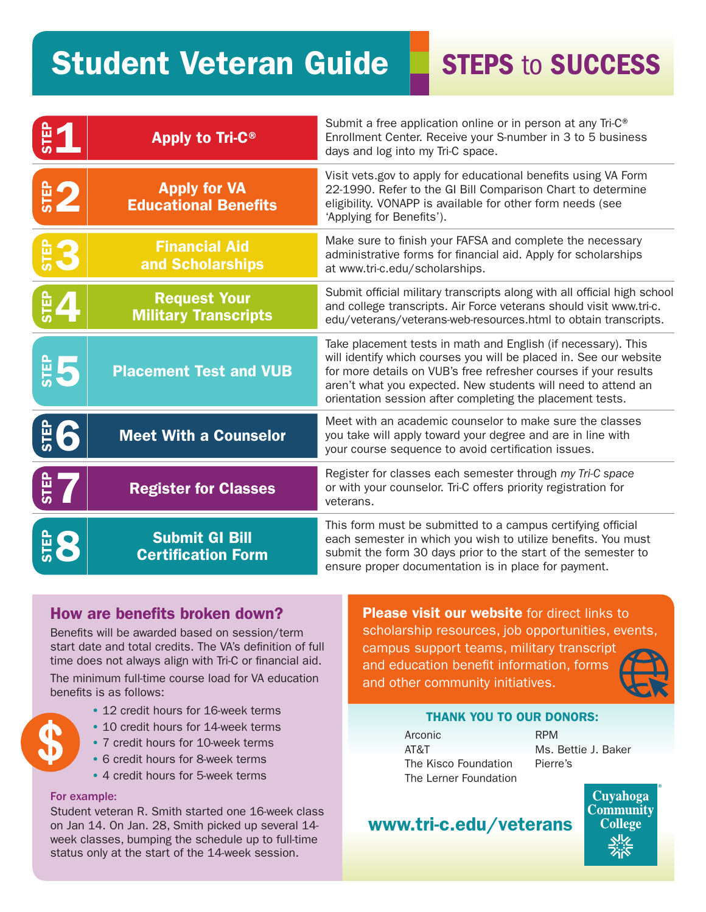# Student Veteran Guide

**STEPS to SUCCESS** 

|                | Apply to Tri-C <sup>®</sup>                        | Submit a free application online or in person at any Tri-C <sup>®</sup><br>Enrollment Center. Receive your S-number in 3 to 5 business<br>days and log into my Tri-C space.                                                                                                                                                           |
|----------------|----------------------------------------------------|---------------------------------------------------------------------------------------------------------------------------------------------------------------------------------------------------------------------------------------------------------------------------------------------------------------------------------------|
| <b>SEP</b>     | <b>Apply for VA</b><br><b>Educational Benefits</b> | Visit vets gov to apply for educational benefits using VA Form<br>22-1990. Refer to the GI Bill Comparison Chart to determine<br>eligibility. VONAPP is available for other form needs (see<br>'Applying for Benefits').                                                                                                              |
|                | <b>Financial Aid</b><br>and Scholarships           | Make sure to finish your FAFSA and complete the necessary<br>administrative forms for financial aid. Apply for scholarships<br>at www.tri-c.edu/scholarships.                                                                                                                                                                         |
| $\frac{6}{3}$  | <b>Request Your</b><br><b>Military Transcripts</b> | Submit official military transcripts along with all official high school<br>and college transcripts. Air Force veterans should visit www.tri-c.<br>edu/veterans/veterans-web-resources.html to obtain transcripts.                                                                                                                    |
| $rac{1}{5}$    | <b>Placement Test and VUB</b>                      | Take placement tests in math and English (if necessary). This<br>will identify which courses you will be placed in. See our website<br>for more details on VUB's free refresher courses if your results<br>aren't what you expected. New students will need to attend an<br>orientation session after completing the placement tests. |
| $\frac{6}{5}6$ | <b>Meet With a Counselor</b>                       | Meet with an academic counselor to make sure the classes<br>you take will apply toward your degree and are in line with<br>your course sequence to avoid certification issues.                                                                                                                                                        |
| STEP<br>-      | <b>Register for Classes</b>                        | Register for classes each semester through my Tri-C space<br>or with your counselor. Tri-C offers priority registration for<br>veterans.                                                                                                                                                                                              |
| <b>STEP</b>    | <b>Submit GI Bill</b><br><b>Certification Form</b> | This form must be submitted to a campus certifying official<br>each semester in which you wish to utilize benefits. You must<br>submit the form 30 days prior to the start of the semester to<br>ensure proper documentation is in place for payment.                                                                                 |

# How are benefits broken down?

Benefits will be awarded based on session/term start date and total credits. The VA's definition of full time does not always align with Tri-C or financial aid.

The minimum full-time course load for VA education benefits is as follows:

- 12 credit hours for 16-week terms
- 10 credit hours for 14-week terms
- 7 credit hours for 10-week terms
- 6 credit hours for 8-week terms
- 4 credit hours for 5-week terms

## For example:

Student veteran R. Smith started one 16-week class on Jan 14. On Jan. 28, Smith picked up several 14 week classes, bumping the schedule up to full-time status only at the start of the 14-week session.

**Please visit our website** for direct links to scholarship resources, job opportunities, events, campus support teams, military transcript and education benefit information, forms and other community initiatives.



## THANK YOU TO OUR DONORS:

Arconic AT&T The Kisco Foundation The Lerner Foundation

RPM Ms. Bettie J. Baker Pierre's

> Cuyahoga **Community College**

# www.tri-c.edu/veterans